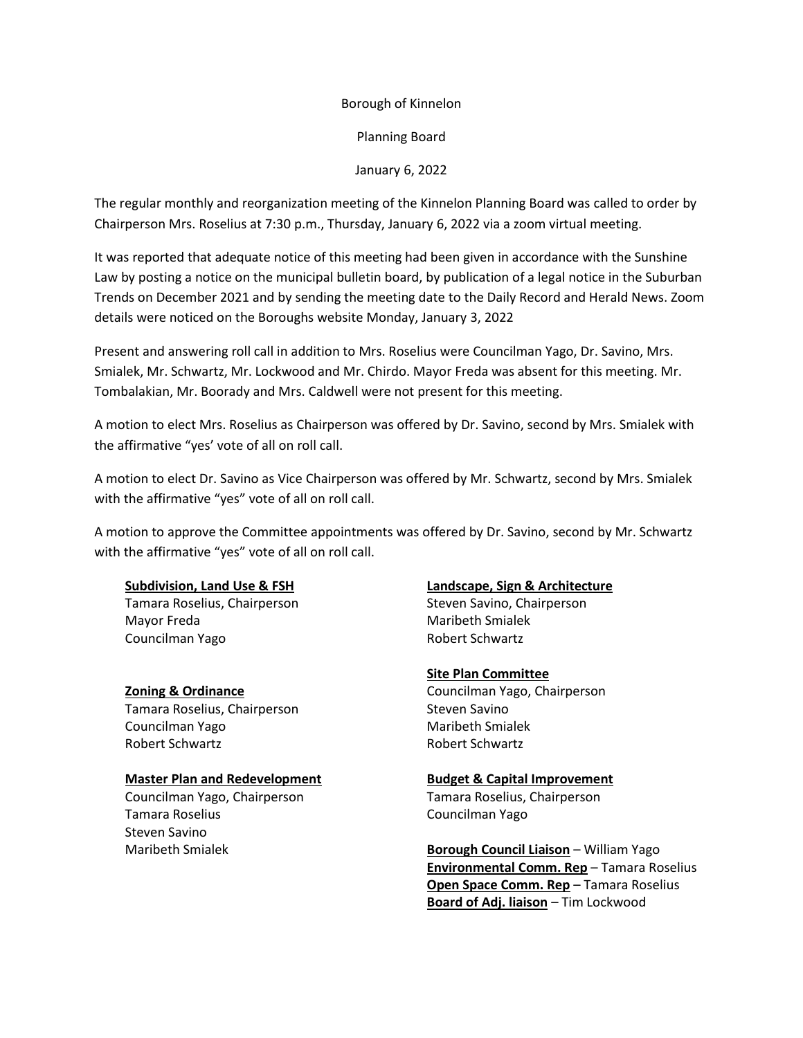# Borough of Kinnelon

Planning Board

# January 6, 2022

The regular monthly and reorganization meeting of the Kinnelon Planning Board was called to order by Chairperson Mrs. Roselius at 7:30 p.m., Thursday, January 6, 2022 via a zoom virtual meeting.

It was reported that adequate notice of this meeting had been given in accordance with the Sunshine Law by posting a notice on the municipal bulletin board, by publication of a legal notice in the Suburban Trends on December 2021 and by sending the meeting date to the Daily Record and Herald News. Zoom details were noticed on the Boroughs website Monday, January 3, 2022

Present and answering roll call in addition to Mrs. Roselius were Councilman Yago, Dr. Savino, Mrs. Smialek, Mr. Schwartz, Mr. Lockwood and Mr. Chirdo. Mayor Freda was absent for this meeting. Mr. Tombalakian, Mr. Boorady and Mrs. Caldwell were not present for this meeting.

A motion to elect Mrs. Roselius as Chairperson was offered by Dr. Savino, second by Mrs. Smialek with the affirmative "yes' vote of all on roll call.

A motion to elect Dr. Savino as Vice Chairperson was offered by Mr. Schwartz, second by Mrs. Smialek with the affirmative "yes" vote of all on roll call.

A motion to approve the Committee appointments was offered by Dr. Savino, second by Mr. Schwartz with the affirmative "yes" vote of all on roll call.

### **Subdivision, Land Use & FSH**

Tamara Roselius, Chairperson Mayor Freda Councilman Yago

**Zoning & Ordinance** Tamara Roselius, Chairperson Councilman Yago Robert Schwartz

### **Master Plan and Redevelopment**

Councilman Yago, Chairperson Tamara Roselius Steven Savino Maribeth Smialek

#### **Landscape, Sign & Architecture**

Steven Savino, Chairperson Maribeth Smialek Robert Schwartz

### **Site Plan Committee**

Councilman Yago, Chairperson Steven Savino Maribeth Smialek Robert Schwartz

#### **Budget & Capital Improvement**

Tamara Roselius, Chairperson Councilman Yago

**Borough Council Liaison** – William Yago **Environmental Comm. Rep** – Tamara Roselius **Open Space Comm. Rep** – Tamara Roselius **Board of Adj. liaison** – Tim Lockwood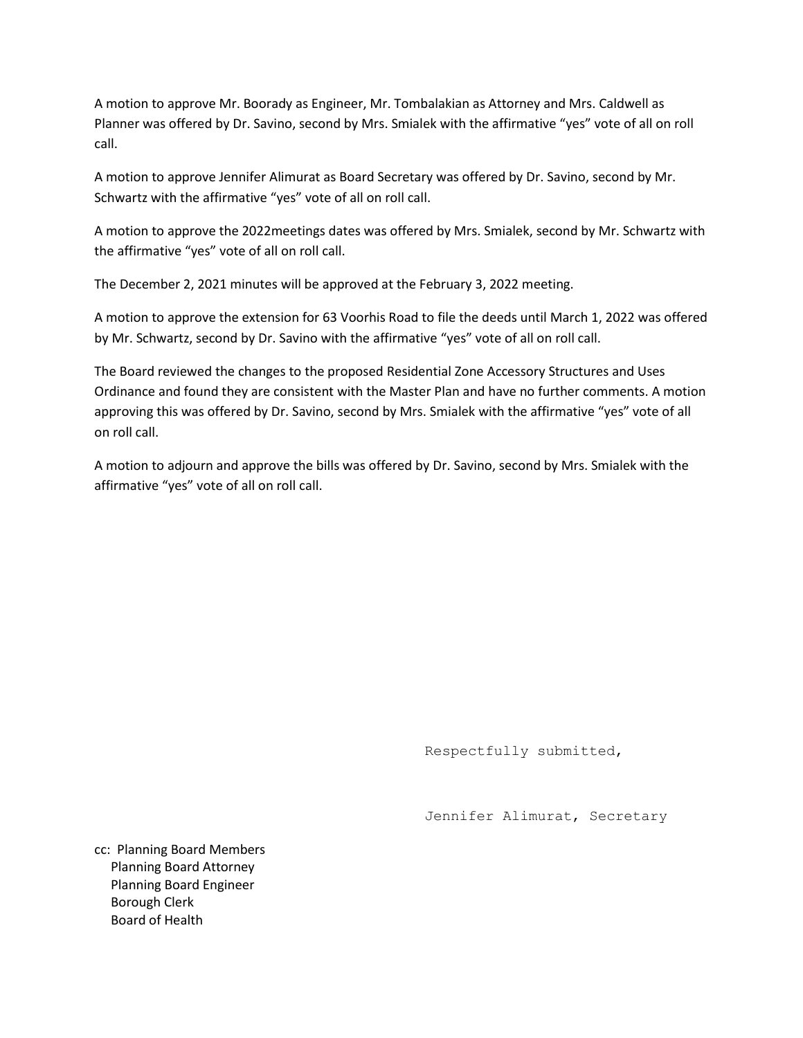A motion to approve Mr. Boorady as Engineer, Mr. Tombalakian as Attorney and Mrs. Caldwell as Planner was offered by Dr. Savino, second by Mrs. Smialek with the affirmative "yes" vote of all on roll call.

A motion to approve Jennifer Alimurat as Board Secretary was offered by Dr. Savino, second by Mr. Schwartz with the affirmative "yes" vote of all on roll call.

A motion to approve the 2022meetings dates was offered by Mrs. Smialek, second by Mr. Schwartz with the affirmative "yes" vote of all on roll call.

The December 2, 2021 minutes will be approved at the February 3, 2022 meeting.

A motion to approve the extension for 63 Voorhis Road to file the deeds until March 1, 2022 was offered by Mr. Schwartz, second by Dr. Savino with the affirmative "yes" vote of all on roll call.

The Board reviewed the changes to the proposed Residential Zone Accessory Structures and Uses Ordinance and found they are consistent with the Master Plan and have no further comments. A motion approving this was offered by Dr. Savino, second by Mrs. Smialek with the affirmative "yes" vote of all on roll call.

A motion to adjourn and approve the bills was offered by Dr. Savino, second by Mrs. Smialek with the affirmative "yes" vote of all on roll call.

Respectfully submitted,

Jennifer Alimurat, Secretary

cc: Planning Board Members Planning Board Attorney Planning Board Engineer Borough Clerk Board of Health